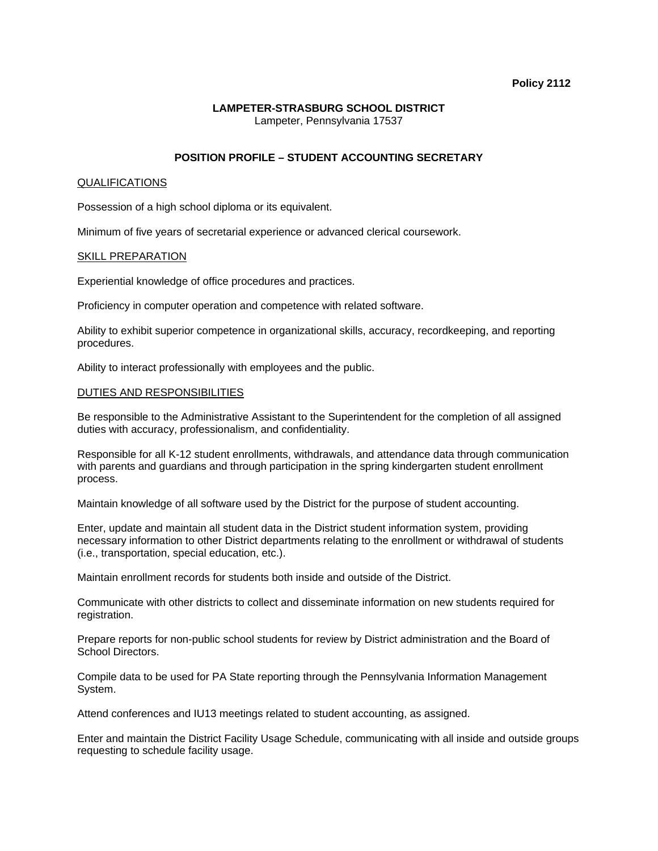# **Policy 2112**

# **LAMPETER-STRASBURG SCHOOL DISTRICT**  Lampeter, Pennsylvania 17537

# **POSITION PROFILE – STUDENT ACCOUNTING SECRETARY**

## QUALIFICATIONS

Possession of a high school diploma or its equivalent.

Minimum of five years of secretarial experience or advanced clerical coursework.

#### SKILL PREPARATION

Experiential knowledge of office procedures and practices.

Proficiency in computer operation and competence with related software.

Ability to exhibit superior competence in organizational skills, accuracy, recordkeeping, and reporting procedures.

Ability to interact professionally with employees and the public.

## DUTIES AND RESPONSIBILITIES

Be responsible to the Administrative Assistant to the Superintendent for the completion of all assigned duties with accuracy, professionalism, and confidentiality.

Responsible for all K-12 student enrollments, withdrawals, and attendance data through communication with parents and guardians and through participation in the spring kindergarten student enrollment process.

Maintain knowledge of all software used by the District for the purpose of student accounting.

Enter, update and maintain all student data in the District student information system, providing necessary information to other District departments relating to the enrollment or withdrawal of students (i.e., transportation, special education, etc.).

Maintain enrollment records for students both inside and outside of the District.

Communicate with other districts to collect and disseminate information on new students required for registration.

Prepare reports for non-public school students for review by District administration and the Board of School Directors.

Compile data to be used for PA State reporting through the Pennsylvania Information Management System.

Attend conferences and IU13 meetings related to student accounting, as assigned.

Enter and maintain the District Facility Usage Schedule, communicating with all inside and outside groups requesting to schedule facility usage.